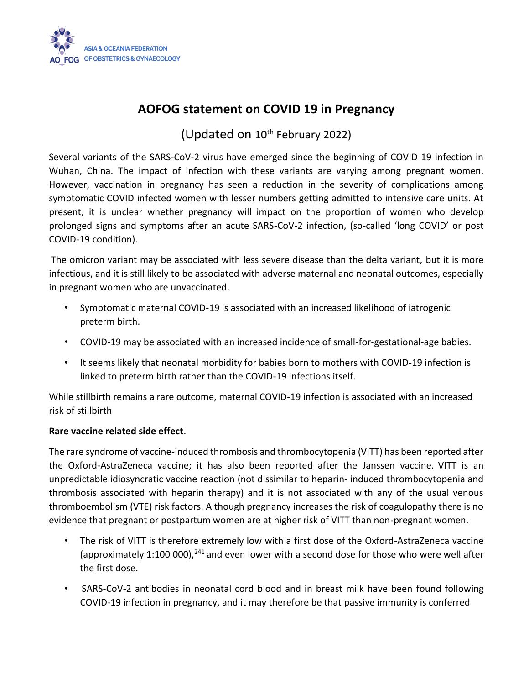

## **AOFOG statement on COVID 19 in Pregnancy**

## (Updated on  $10^{th}$  February 2022)

Several variants of the SARS-CoV-2 virus have emerged since the beginning of COVID 19 infection in Wuhan, China. The impact of infection with these variants are varying among pregnant women. However, vaccination in pregnancy has seen a reduction in the severity of complications among symptomatic COVID infected women with lesser numbers getting admitted to intensive care units. At present, it is unclear whether pregnancy will impact on the proportion of women who develop prolonged signs and symptoms after an acute SARS-CoV-2 infection, (so-called 'long COVID' or post COVID-19 condition).

The omicron variant may be associated with less severe disease than the delta variant, but it is more infectious, and it is still likely to be associated with adverse maternal and neonatal outcomes, especially in pregnant women who are unvaccinated.

- Symptomatic maternal COVID-19 is associated with an increased likelihood of iatrogenic preterm birth.
- COVID-19 may be associated with an increased incidence of small-for-gestational-age babies.
- It seems likely that neonatal morbidity for babies born to mothers with COVID-19 infection is linked to preterm birth rather than the COVID-19 infections itself.

While stillbirth remains a rare outcome, maternal COVID-19 infection is associated with an increased risk of stillbirth

## **Rare vaccine related side effect**.

The rare syndrome of vaccine-induced thrombosis and thrombocytopenia (VITT) has been reported after the Oxford-AstraZeneca vaccine; it has also been reported after the Janssen vaccine. VITT is an unpredictable idiosyncratic vaccine reaction (not dissimilar to heparin- induced thrombocytopenia and thrombosis associated with heparin therapy) and it is not associated with any of the usual venous thromboembolism (VTE) risk factors. Although pregnancy increases the risk of coagulopathy there is no evidence that pregnant or postpartum women are at higher risk of VITT than non-pregnant women.

- The risk of VITT is therefore extremely low with a first dose of the Oxford-AstraZeneca vaccine (approximately 1:100 000), $^{241}$  and even lower with a second dose for those who were well after the first dose.
- SARS-CoV-2 antibodies in neonatal cord blood and in breast milk have been found following COVID-19 infection in pregnancy, and it may therefore be that passive immunity is conferred